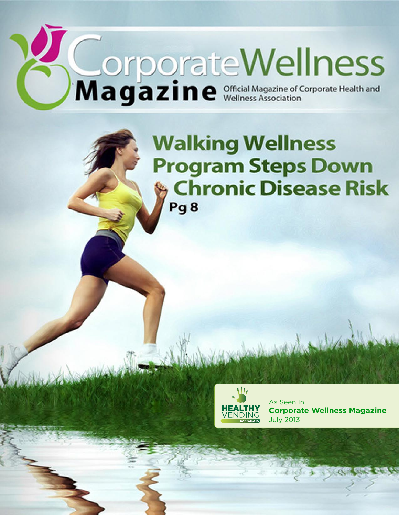# Magazine <sup>of</sup>ficial Magazine of Corporate Health and

**Walking Wellness Program Steps Down Chronic Disease Risk** Pg<sub>8</sub>



As Seen In **Corporate Wellness Magazine** July 2013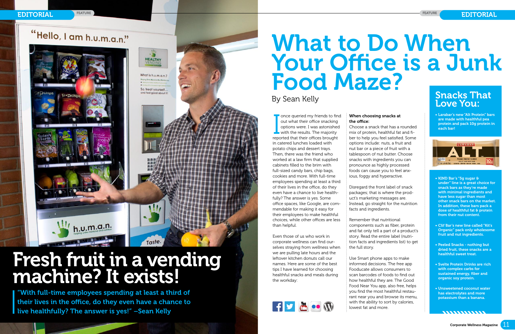

# "Hello, I am h.u.m.a.n."

# What to Do When Your Office is a Junk Food Maze? By Sean Kelly

once queried my friends to find<br>out what their office snacking<br>options were. I was astonished<br>with the results. The majority<br>reported that their offices brought once queried my friends to find out what their office snacking options were. I was astonished  $\blacksquare$  with the results. The majority in catered lunches loaded with potato chips and dessert trays. Then, there was the friend who worked at a law firm that supplied cabinets filled to the brim with full-sized candy bars, chip bags, cookies and more. With full-time employees spending at least a third of their lives in the office, do they even have a chance to live healthfully? The answer is yes. Some office spaces, like Google, are commendable for making it easy for their employees to make healthful choices, while other offices are less than helpful.

Even those of us who work in corporate wellness can find ourselves straying from wellness when we are pulling late hours and the **leftover kitchen donuts call our data backgrounds** names. Here are some of the best tips I have learned for choosing healthful snacks and meals during **the workday:** est<br>g<br>ing



# **Snacks That** Love You:

## When choosing snacks at the office:

Choose a snack that has a rounded mix of protein, healthful fat and fiber to help you feel satisfied. Some options include: nuts, a fruit and nut bar or a piece of fruit with a tablespoon of nut butter. Choose snacks with ingredients you can pronounce as highly processed foods can cause you to feel anxious, foggy and hyperactive.

- KIND Bar's "5g sugar  $\theta$  under" line is a great choice for snack bars as they're made with minimal ingredients and have less sugar than most other snack bars on the market. In addition, these bars pack a dose of healthful fat & protein from their nut content.
- • Clif Bar's new line called "Kit's Organic" pack only wholesome fruit and nut ingredients.
- • Peeled Snacks nothing but dried fruit, these snacks are a healthful sweet treat.
- • Svelte Protein Drinks are rich with complex carbs for sustained energy, fiber and organic soy protein.
- • Unsweetened coconut water has electrolytes and more potassium than a banana.

,,,,,,,,,,,,,

"With full-time employees spending at least a third of their lives in the office, do they even have a chance to l live healthfully? The answer is yes!" -Sean Kelly

Disregard the front label of snack packages; that is where the product's marketing messages are. Instead, go straight for the nutrition facts and ingredients.

Remember that nutritional components such as fiber, protein and fat only tell a part of a product's story. Read the entire label (nutrition facts and ingredients list) to get the full story.

• Larabar's new "Alt Protein" bars are made with healthful pea protein and pack 10g protein in each bar!



Use Smart phone apps to make informed decisions. The free app Fooducate allows consumers to scan barcodes of foods to find out how healthful they are. The Good Food Near You app, also free, helps you find the most healthful restaurant near you and browse its menu, with the ability to sort by calories, lowest fat and more. stacked logo (for sharing only)



**HEALTHY** 

What is h.v.m.a.n.?

So, treat yourself... and feel good about it!